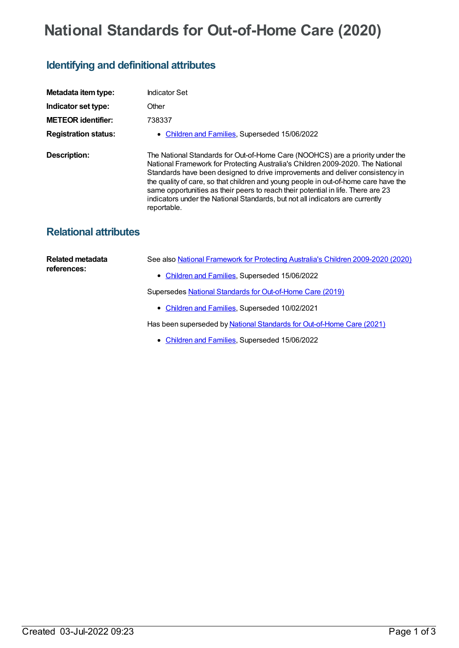## **National Standards for Out-of-Home Care (2020)**

## **Identifying and definitional attributes**

| Metadata item type:          | <b>Indicator Set</b>                                                                                                                                                                                                                                                                                                                                                                                                                                                                                                        |
|------------------------------|-----------------------------------------------------------------------------------------------------------------------------------------------------------------------------------------------------------------------------------------------------------------------------------------------------------------------------------------------------------------------------------------------------------------------------------------------------------------------------------------------------------------------------|
| Indicator set type:          | Other                                                                                                                                                                                                                                                                                                                                                                                                                                                                                                                       |
| <b>METEOR identifier:</b>    | 738337                                                                                                                                                                                                                                                                                                                                                                                                                                                                                                                      |
| <b>Registration status:</b>  | <b>Children and Families, Superseded 15/06/2022</b>                                                                                                                                                                                                                                                                                                                                                                                                                                                                         |
| <b>Description:</b>          | The National Standards for Out-of-Home Care (NOOHCS) are a priority under the<br>National Framework for Protecting Australia's Children 2009-2020. The National<br>Standards have been designed to drive improvements and deliver consistency in<br>the quality of care, so that children and young people in out-of-home care have the<br>same opportunities as their peers to reach their potential in life. There are 23<br>indicators under the National Standards, but not all indicators are currently<br>reportable. |
| <b>Relational attributes</b> |                                                                                                                                                                                                                                                                                                                                                                                                                                                                                                                             |
| Related metadata             | See also National Framework for Protecting Australia's Children 2009-2020 (2020)                                                                                                                                                                                                                                                                                                                                                                                                                                            |

[Children](https://meteor.aihw.gov.au/RegistrationAuthority/17) and Families, Superseded 15/06/2022

Supersedes National Standards for [Out-of-Home](https://meteor.aihw.gov.au/content/738235) Care (2019)

• [Children](https://meteor.aihw.gov.au/RegistrationAuthority/17) and Families, Superseded 10/02/2021

Has been superseded by National Standards for [Out-of-Home](https://meteor.aihw.gov.au/content/740686) Care (2021)

• [Children](https://meteor.aihw.gov.au/RegistrationAuthority/17) and Families, Superseded 15/06/2022

**references:**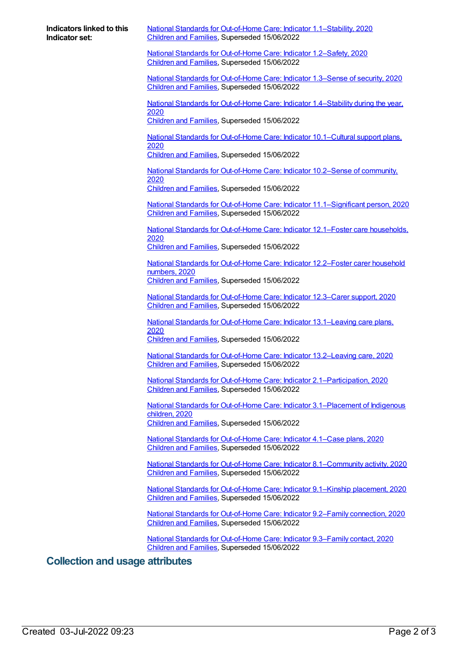| Indicators linked to this |  |  |
|---------------------------|--|--|
| Indicator set:            |  |  |

National Standards for Out-of-Home Care: Indicator [1.1–Stability,](https://meteor.aihw.gov.au/content/738339) 2020 [Children](https://meteor.aihw.gov.au/RegistrationAuthority/17) and Families, Superseded 15/06/2022

National Standards for [Out-of-Home](https://meteor.aihw.gov.au/content/738341) Care: Indicator 1.2–Safety, 2020 [Children](https://meteor.aihw.gov.au/RegistrationAuthority/17) and Families, Superseded 15/06/2022

National Standards for [Out-of-Home](https://meteor.aihw.gov.au/content/738343) Care: Indicator 1.3–Sense of security, 2020 [Children](https://meteor.aihw.gov.au/RegistrationAuthority/17) and Families, Superseded 15/06/2022

National Standards for [Out-of-Home](https://meteor.aihw.gov.au/content/738345) Care: Indicator 1.4–Stability during the year, 2020 [Children](https://meteor.aihw.gov.au/RegistrationAuthority/17) and Families, Superseded 15/06/2022

National Standards for Out-of-Home Care: Indicator [10.1–Cultural](https://meteor.aihw.gov.au/content/738347) support plans, 2020

[Children](https://meteor.aihw.gov.au/RegistrationAuthority/17) and Families, Superseded 15/06/2022

National Standards for [Out-of-Home](https://meteor.aihw.gov.au/content/738349) Care: Indicator 10.2–Sense of community, 2020 [Children](https://meteor.aihw.gov.au/RegistrationAuthority/17) and Families, Superseded 15/06/2022

National Standards for Out-of-Home Care: Indicator [11.1–Significant](https://meteor.aihw.gov.au/content/738351) person, 2020

[Children](https://meteor.aihw.gov.au/RegistrationAuthority/17) and Families, Superseded 15/06/2022 National Standards for [Out-of-Home](https://meteor.aihw.gov.au/content/738353) Care: Indicator 12.1–Foster care households,

2020

[Children](https://meteor.aihw.gov.au/RegistrationAuthority/17) and Families, Superseded 15/06/2022

National Standards for [Out-of-Home](https://meteor.aihw.gov.au/content/738355) Care: Indicator 12.2–Foster carer household numbers, 2020 [Children](https://meteor.aihw.gov.au/RegistrationAuthority/17) and Families, Superseded 15/06/2022

National Standards for [Out-of-Home](https://meteor.aihw.gov.au/content/738357) Care: Indicator 12.3–Carer support, 2020 [Children](https://meteor.aihw.gov.au/RegistrationAuthority/17) and Families, Superseded 15/06/2022

National Standards for Out-of-Home Care: Indicator [13.1–Leaving](https://meteor.aihw.gov.au/content/738359) care plans, 2020

[Children](https://meteor.aihw.gov.au/RegistrationAuthority/17) and Families, Superseded 15/06/2022

National Standards for Out-of-Home Care: Indicator [13.2–Leaving](https://meteor.aihw.gov.au/content/738361) care, 2020 [Children](https://meteor.aihw.gov.au/RegistrationAuthority/17) and Families, Superseded 15/06/2022

National Standards for Out-of-Home Care: Indicator [2.1–Participation,](https://meteor.aihw.gov.au/content/738363) 2020 [Children](https://meteor.aihw.gov.au/RegistrationAuthority/17) and Families, Superseded 15/06/2022

National Standards for Out-of-Home Care: Indicator [3.1–Placement](https://meteor.aihw.gov.au/content/738365) of Indigenous children, 2020 [Children](https://meteor.aihw.gov.au/RegistrationAuthority/17) and Families, Superseded 15/06/2022

National Standards for [Out-of-Home](https://meteor.aihw.gov.au/content/738367) Care: Indicator 4.1–Case plans, 2020 [Children](https://meteor.aihw.gov.au/RegistrationAuthority/17) and Families, Superseded 15/06/2022

National Standards for Out-of-Home Care: Indicator [8.1–Community](https://meteor.aihw.gov.au/content/738369) activity, 2020 [Children](https://meteor.aihw.gov.au/RegistrationAuthority/17) and Families, Superseded 15/06/2022

National Standards for [Out-of-Home](https://meteor.aihw.gov.au/content/738371) Care: Indicator 9.1–Kinship placement, 2020 [Children](https://meteor.aihw.gov.au/RegistrationAuthority/17) and Families, Superseded 15/06/2022

National Standards for [Out-of-Home](https://meteor.aihw.gov.au/content/738373) Care: Indicator 9.2–Family connection, 2020 [Children](https://meteor.aihw.gov.au/RegistrationAuthority/17) and Families, Superseded 15/06/2022

National Standards for [Out-of-Home](https://meteor.aihw.gov.au/content/738375) Care: Indicator 9.3–Family contact, 2020 [Children](https://meteor.aihw.gov.au/RegistrationAuthority/17) and Families, Superseded 15/06/2022

## **Collection and usage attributes**